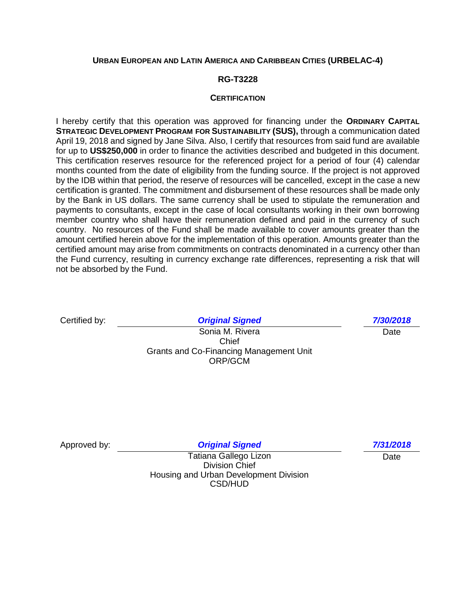### **URBAN EUROPEAN AND LATIN AMERICA AND CARIBBEAN CITIES (URBELAC-4)**

### **RG-T3228**

### **CERTIFICATION**

I hereby certify that this operation was approved for financing under the **ORDINARY CAPITAL STRATEGIC DEVELOPMENT PROGRAM FOR SUSTAINABILITY (SUS),** through a communication dated April 19, 2018 and signed by Jane Silva. Also, I certify that resources from said fund are available for up to **US\$250,000** in order to finance the activities described and budgeted in this document. This certification reserves resource for the referenced project for a period of four (4) calendar months counted from the date of eligibility from the funding source. If the project is not approved by the IDB within that period, the reserve of resources will be cancelled, except in the case a new certification is granted. The commitment and disbursement of these resources shall be made only by the Bank in US dollars. The same currency shall be used to stipulate the remuneration and payments to consultants, except in the case of local consultants working in their own borrowing member country who shall have their remuneration defined and paid in the currency of such country. No resources of the Fund shall be made available to cover amounts greater than the amount certified herein above for the implementation of this operation. Amounts greater than the certified amount may arise from commitments on contracts denominated in a currency other than the Fund currency, resulting in currency exchange rate differences, representing a risk that will not be absorbed by the Fund.

Certified by: *Original Signed 7/30/2018*

Date

Sonia M. Rivera **Chief** Grants and Co-Financing Management Unit ORP/GCM

Approved by: *Original Signed 7/31/2018*

**Date** 

Tatiana Gallego Lizon Division Chief Housing and Urban Development Division CSD/HUD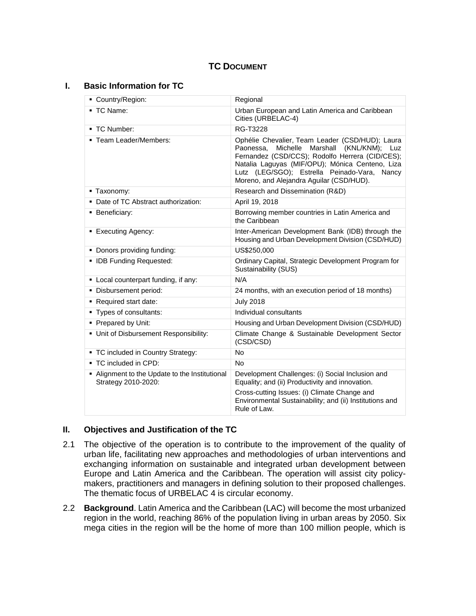## **TC DOCUMENT**

### **I. Basic Information for TC**

| Country/Region:                                                       | Regional                                                                                                                                                                                                                                                                                                    |
|-----------------------------------------------------------------------|-------------------------------------------------------------------------------------------------------------------------------------------------------------------------------------------------------------------------------------------------------------------------------------------------------------|
| ■ TC Name:                                                            | Urban European and Latin America and Caribbean<br>Cities (URBELAC-4)                                                                                                                                                                                                                                        |
| - TC Number:                                                          | RG-T3228                                                                                                                                                                                                                                                                                                    |
| ■ Team Leader/Members:                                                | Ophélie Chevalier, Team Leader (CSD/HUD); Laura<br>Marshall (KNL/KNM);<br>Paonessa.<br>Michelle<br>Luz<br>Fernandez (CSD/CCS); Rodolfo Herrera (CID/CES);<br>Natalia Laguyas (MIF/OPU); Mónica Centeno, Liza<br>Lutz (LEG/SGO); Estrella Peinado-Vara,<br>Nancy<br>Moreno, and Alejandra Aguilar (CSD/HUD). |
| ■ Taxonomy:                                                           | Research and Dissemination (R&D)                                                                                                                                                                                                                                                                            |
| • Date of TC Abstract authorization:                                  | April 19, 2018                                                                                                                                                                                                                                                                                              |
| <b>Beneficiary:</b>                                                   | Borrowing member countries in Latin America and<br>the Caribbean                                                                                                                                                                                                                                            |
| ■ Executing Agency:                                                   | Inter-American Development Bank (IDB) through the<br>Housing and Urban Development Division (CSD/HUD)                                                                                                                                                                                                       |
| • Donors providing funding:                                           | US\$250,000                                                                                                                                                                                                                                                                                                 |
| • IDB Funding Requested:                                              | Ordinary Capital, Strategic Development Program for<br>Sustainability (SUS)                                                                                                                                                                                                                                 |
| • Local counterpart funding, if any:                                  | N/A                                                                                                                                                                                                                                                                                                         |
| · Disbursement period:                                                | 24 months, with an execution period of 18 months)                                                                                                                                                                                                                                                           |
| Required start date:                                                  | <b>July 2018</b>                                                                                                                                                                                                                                                                                            |
| • Types of consultants:                                               | Individual consultants                                                                                                                                                                                                                                                                                      |
| • Prepared by Unit:                                                   | Housing and Urban Development Division (CSD/HUD)                                                                                                                                                                                                                                                            |
| • Unit of Disbursement Responsibility:                                | Climate Change & Sustainable Development Sector<br>(CSD/CSD)                                                                                                                                                                                                                                                |
| • TC included in Country Strategy:                                    | <b>No</b>                                                                                                                                                                                                                                                                                                   |
| ■ TC included in CPD:                                                 | <b>No</b>                                                                                                                                                                                                                                                                                                   |
| • Alignment to the Update to the Institutional<br>Strategy 2010-2020: | Development Challenges: (i) Social Inclusion and<br>Equality; and (ii) Productivity and innovation.<br>Cross-cutting Issues: (i) Climate Change and<br>Environmental Sustainability; and (ii) Institutions and<br>Rule of Law.                                                                              |

### **II. Objectives and Justification of the TC**

- 2.1 The objective of the operation is to contribute to the improvement of the quality of urban life, facilitating new approaches and methodologies of urban interventions and exchanging information on sustainable and integrated urban development between Europe and Latin America and the Caribbean. The operation will assist city policymakers, practitioners and managers in defining solution to their proposed challenges. The thematic focus of URBELAC 4 is circular economy.
- 2.2 **Background**. Latin America and the Caribbean (LAC) will become the most urbanized region in the world, reaching 86% of the population living in urban areas by 2050. Six mega cities in the region will be the home of more than 100 million people, which is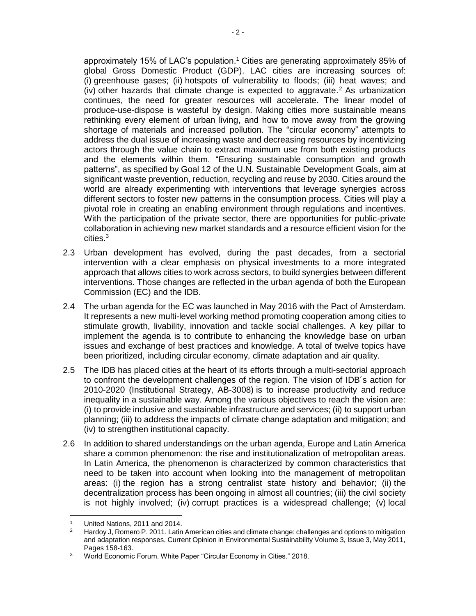approximately 15% of LAC's population. <sup>1</sup> Cities are generating approximately 85% of global Gross Domestic Product (GDP). LAC cities are increasing sources of: (i) greenhouse gases; (ii) hotspots of vulnerability to floods; (iii) heat waves; and (iv) other hazards that climate change is expected to aggravate. <sup>2</sup> As urbanization continues, the need for greater resources will accelerate. The linear model of produce-use-dispose is wasteful by design. Making cities more sustainable means rethinking every element of urban living, and how to move away from the growing shortage of materials and increased pollution. The "circular economy" attempts to address the dual issue of increasing waste and decreasing resources by incentivizing actors through the value chain to extract maximum use from both existing products and the elements within them. "Ensuring sustainable consumption and growth patterns", as specified by Goal 12 of the U.N. Sustainable Development Goals, aim at significant waste prevention, reduction, recycling and reuse by 2030. Cities around the world are already experimenting with interventions that leverage synergies across different sectors to foster new patterns in the consumption process. Cities will play a pivotal role in creating an enabling environment through regulations and incentives. With the participation of the private sector, there are opportunities for public-private collaboration in achieving new market standards and a resource efficient vision for the cities.<sup>3</sup>

- 2.3 Urban development has evolved, during the past decades, from a sectorial intervention with a clear emphasis on physical investments to a more integrated approach that allows cities to work across sectors, to build synergies between different interventions. Those changes are reflected in the urban agenda of both the European Commission (EC) and the IDB.
- 2.4 The urban agenda for the EC was launched in May 2016 with the Pact of Amsterdam. It represents a new multi-level working method promoting cooperation among cities to stimulate growth, livability, innovation and tackle social challenges. A key pillar to implement the agenda is to contribute to enhancing the knowledge base on urban issues and exchange of best practices and knowledge. A total of twelve topics have been prioritized, including circular economy, climate adaptation and air quality.
- 2.5 The IDB has placed cities at the heart of its efforts through a multi-sectorial approach to confront the development challenges of the region. The vision of IDB´s action for 2010-2020 (Institutional Strategy, AB-3008) is to increase productivity and reduce inequality in a sustainable way. Among the various objectives to reach the vision are: (i) to provide inclusive and sustainable infrastructure and services; (ii) to support urban planning; (iii) to address the impacts of climate change adaptation and mitigation; and (iv) to strengthen institutional capacity.
- 2.6 In addition to shared understandings on the urban agenda, Europe and Latin America share a common phenomenon: the rise and institutionalization of metropolitan areas. In Latin America, the phenomenon is characterized by common characteristics that need to be taken into account when looking into the management of metropolitan areas: (i) the region has a strong centralist state history and behavior; (ii) the decentralization process has been ongoing in almost all countries; (iii) the civil society is not highly involved; (iv) corrupt practices is a widespread challenge; (v) local

 $\overline{\phantom{a}}$ <sup>1</sup> United Nations, 2011 and 2014.

<sup>2</sup> Hardoy J, Romero P. 2011. Latin American cities and climate change: challenges and options to mitigation and adaptation responses. Current Opinion in Environmental Sustainability Volume 3, Issue 3, May 2011, Pages 158-163.

<sup>&</sup>lt;sup>3</sup> World Economic Forum. White Paper "Circular Economy in Cities." 2018.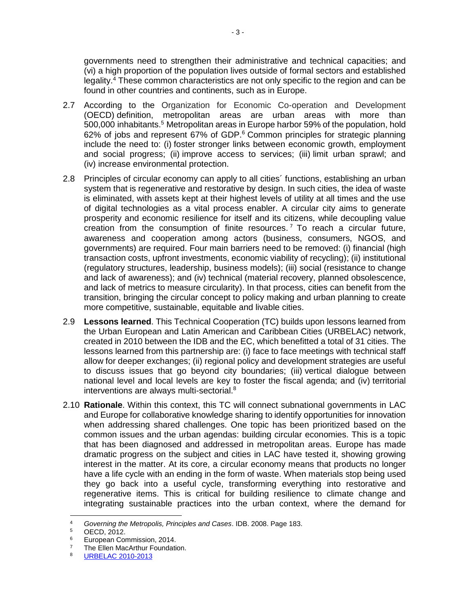governments need to strengthen their administrative and technical capacities; and (vi) a high proportion of the population lives outside of formal sectors and established legality.<sup>4</sup> These common characteristics are not only specific to the region and can be found in other countries and continents, such as in Europe.

- 2.7 According to the Organization for Economic Co-operation and Development (OECD) definition, metropolitan areas are urban areas with more than 500,000 inhabitants.<sup>5</sup> Metropolitan areas in Europe harbor 59% of the population, hold 62% of jobs and represent 67% of GDP.<sup>6</sup> Common principles for strategic planning include the need to: (i) foster stronger links between economic growth, employment and social progress; (ii) improve access to services; (iii) limit urban sprawl; and (iv) increase environmental protection.
- 2.8 Principles of circular economy can apply to all cities´ functions, establishing an urban system that is regenerative and restorative by design. In such cities, the idea of waste is eliminated, with assets kept at their highest levels of utility at all times and the use of digital technologies as a vital process enabler. A circular city aims to generate prosperity and economic resilience for itself and its citizens, while decoupling value creation from the consumption of finite resources. <sup>7</sup> To reach a circular future, awareness and cooperation among actors (business, consumers, NGOS, and governments) are required. Four main barriers need to be removed: (i) financial (high transaction costs, upfront investments, economic viability of recycling); (ii) institutional (regulatory structures, leadership, business models); (iii) social (resistance to change and lack of awareness); and (iv) technical (material recovery, planned obsolescence, and lack of metrics to measure circularity). In that process, cities can benefit from the transition, bringing the circular concept to policy making and urban planning to create more competitive, sustainable, equitable and livable cities.
- 2.9 **Lessons learned**. This Technical Cooperation (TC) builds upon lessons learned from the Urban European and Latin American and Caribbean Cities (URBELAC) network, created in 2010 between the IDB and the EC, which benefitted a total of 31 cities. The lessons learned from this partnership are: (i) face to face meetings with technical staff allow for deeper exchanges; (ii) regional policy and development strategies are useful to discuss issues that go beyond city boundaries; (iii) vertical dialogue between national level and local levels are key to foster the fiscal agenda; and (iv) territorial interventions are always multi-sectorial.<sup>8</sup>
- 2.10 **Rationale**. Within this context, this TC will connect subnational governments in LAC and Europe for collaborative knowledge sharing to identify opportunities for innovation when addressing shared challenges. One topic has been prioritized based on the common issues and the urban agendas: building circular economies. This is a topic that has been diagnosed and addressed in metropolitan areas. Europe has made dramatic progress on the subject and cities in LAC have tested it, showing growing interest in the matter. At its core, a circular economy means that products no longer have a life cycle with an ending in the form of waste. When materials stop being used they go back into a useful cycle, transforming everything into restorative and regenerative items. This is critical for building resilience to climate change and integrating sustainable practices into the urban context, where the demand for

 $\overline{A}$ 4 *Governing the Metropolis, Principles and Cases.* IDB. 2008. Page 183.<br>5 **OECD** 2012

 $5$  OECD, 2012.

 $^{6}$  European Commission, 2014.

The Ellen MacArthur Foundation.

<sup>8</sup> [URBELAC 2010-2013](http://ec.europa.eu/regional_policy/sources/cooperate/international/pdf/idb_urbelac_es.pdf)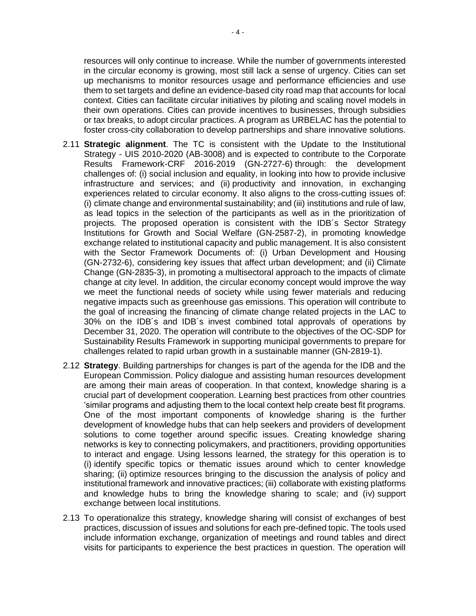resources will only continue to increase. While the number of governments interested in the circular economy is growing, most still lack a sense of urgency. Cities can set up mechanisms to monitor resources usage and performance efficiencies and use them to set targets and define an evidence-based city road map that accounts for local context. Cities can facilitate circular initiatives by piloting and scaling novel models in their own operations. Cities can provide incentives to businesses, through subsidies or tax breaks, to adopt circular practices. A program as URBELAC has the potential to foster cross-city collaboration to develop partnerships and share innovative solutions.

- 2.11 **Strategic alignment**. The TC is consistent with the Update to the Institutional Strategy - UIS 2010-2020 (AB-3008) and is expected to contribute to the Corporate Results Framework-CRF 2016-2019 (GN-2727-6) through: the development challenges of: (i) social inclusion and equality, in looking into how to provide inclusive infrastructure and services; and (ii) productivity and innovation, in exchanging experiences related to circular economy. It also aligns to the cross-cutting issues of: (i) climate change and environmental sustainability; and (iii) institutions and rule of law, as lead topics in the selection of the participants as well as in the prioritization of projects. The proposed operation is consistent with the IDB´s Sector Strategy Institutions for Growth and Social Welfare (GN-2587-2), in promoting knowledge exchange related to institutional capacity and public management. It is also consistent with the Sector Framework Documents of: (i) Urban Development and Housing (GN-2732-6), considering key issues that affect urban development; and (ii) Climate Change (GN-2835-3), in promoting a multisectoral approach to the impacts of climate change at city level. In addition, the circular economy concept would improve the way we meet the functional needs of society while using fewer materials and reducing negative impacts such as greenhouse gas emissions. This operation will contribute to the goal of increasing the financing of climate change related projects in the LAC to 30% on the IDB´s and IDB´s invest combined total approvals of operations by December 31, 2020. The operation will contribute to the objectives of the OC-SDP for Sustainability Results Framework in supporting municipal governments to prepare for challenges related to rapid urban growth in a sustainable manner (GN-2819-1).
- 2.12 **Strategy**. Building partnerships for changes is part of the agenda for the IDB and the European Commission. Policy dialogue and assisting human resources development are among their main areas of cooperation. In that context, knowledge sharing is a crucial part of development cooperation. Learning best practices from other countries 'similar programs and adjusting them to the local context help create best fit programs. One of the most important components of knowledge sharing is the further development of knowledge hubs that can help seekers and providers of development solutions to come together around specific issues. Creating knowledge sharing networks is key to connecting policymakers, and practitioners, providing opportunities to interact and engage. Using lessons learned, the strategy for this operation is to (i) identify specific topics or thematic issues around which to center knowledge sharing; (ii) optimize resources bringing to the discussion the analysis of policy and institutional framework and innovative practices; (iii) collaborate with existing platforms and knowledge hubs to bring the knowledge sharing to scale; and (iv) support exchange between local institutions.
- 2.13 To operationalize this strategy, knowledge sharing will consist of exchanges of best practices, discussion of issues and solutions for each pre-defined topic. The tools used include information exchange, organization of meetings and round tables and direct visits for participants to experience the best practices in question. The operation will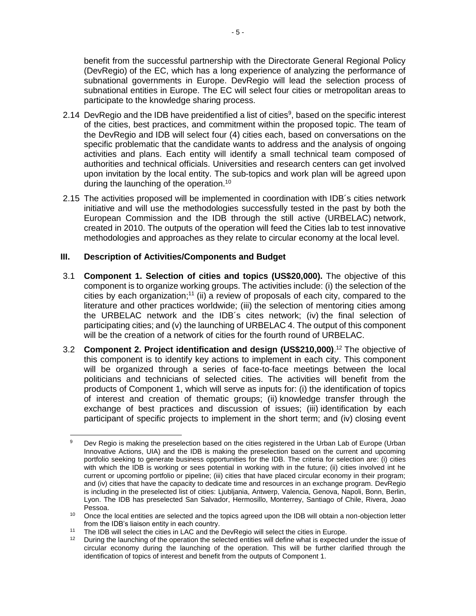benefit from the successful partnership with the Directorate General Regional Policy (DevRegio) of the EC, which has a long experience of analyzing the performance of subnational governments in Europe. DevRegio will lead the selection process of subnational entities in Europe. The EC will select four cities or metropolitan areas to participate to the knowledge sharing process.

- 2.14 DevRegio and the IDB have preidentified a list of cities<sup>9</sup>, based on the specific interest of the cities, best practices, and commitment within the proposed topic. The team of the DevRegio and IDB will select four (4) cities each, based on conversations on the specific problematic that the candidate wants to address and the analysis of ongoing activities and plans. Each entity will identify a small technical team composed of authorities and technical officials. Universities and research centers can get involved upon invitation by the local entity. The sub-topics and work plan will be agreed upon during the launching of the operation.<sup>10</sup>
- 2.15 The activities proposed will be implemented in coordination with IDB´s cities network initiative and will use the methodologies successfully tested in the past by both the European Commission and the IDB through the still active (URBELAC) network, created in 2010. The outputs of the operation will feed the Cities lab to test innovative methodologies and approaches as they relate to circular economy at the local level.

### **III. Description of Activities/Components and Budget**

- 3.1 **Component 1. Selection of cities and topics (US\$20,000).** The objective of this component is to organize working groups. The activities include: (i) the selection of the cities by each organization; <sup>11</sup> (ii) a review of proposals of each city, compared to the literature and other practices worldwide; (iii) the selection of mentoring cities among the URBELAC network and the IDB´s cites network; (iv) the final selection of participating cities; and (v) the launching of URBELAC 4. The output of this component will be the creation of a network of cities for the fourth round of URBELAC.
- 3.2 **Component 2. Project identification and design (US\$210,000)**. <sup>12</sup> The objective of this component is to identify key actions to implement in each city. This component will be organized through a series of face-to-face meetings between the local politicians and technicians of selected cities. The activities will benefit from the products of Component 1, which will serve as inputs for: (i) the identification of topics of interest and creation of thematic groups; (ii) knowledge transfer through the exchange of best practices and discussion of issues; (iii) identification by each participant of specific projects to implement in the short term; and (iv) closing event

 $\overline{\phantom{a}}$ Dev Regio is making the preselection based on the cities registered in the Urban Lab of Europe (Urban Innovative Actions, UIA) and the IDB is making the preselection based on the current and upcoming portfolio seeking to generate business opportunities for the IDB. The criteria for selection are: (i) cities with which the IDB is working or sees potential in working with in the future; (ii) cities involved int he current or upcoming portfolio or pipeline; (iii) cities that have placed circular economy in their program; and (iv) cities that have the capacity to dedicate time and resources in an exchange program. DevRegio is including in the preselected list of cities: Ljubljania, Antwerp, Valencia, Genova, Napoli, Bonn, Berlin, Lyon. The IDB has preselected San Salvador, Hermosillo, Monterrey, Santiago of Chile, Rivera, Joao Pessoa.

<sup>&</sup>lt;sup>10</sup> Once the local entities are selected and the topics agreed upon the IDB will obtain a non-objection letter from the IDB's liaison entity in each country.

<sup>&</sup>lt;sup>11</sup> The IDB will select the cities in LAC and the DevRegio will select the cities in Europe.<br><sup>12</sup> Puring the launching of the operation the colocted optities will define what is expected

<sup>12</sup> During the launching of the operation the selected entities will define what is expected under the issue of circular economy during the launching of the operation. This will be further clarified through the identification of topics of interest and benefit from the outputs of Component 1.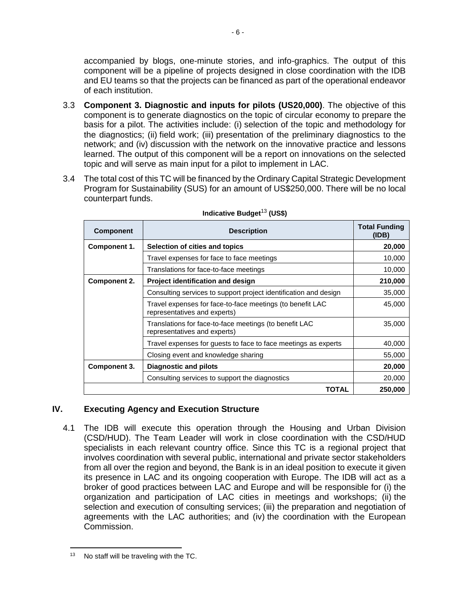accompanied by blogs, one-minute stories, and info-graphics. The output of this component will be a pipeline of projects designed in close coordination with the IDB and EU teams so that the projects can be financed as part of the operational endeavor of each institution.

- 6 -

- 3.3 **Component 3. Diagnostic and inputs for pilots (US20,000)**. The objective of this component is to generate diagnostics on the topic of circular economy to prepare the basis for a pilot. The activities include: (i) selection of the topic and methodology for the diagnostics; (ii) field work; (iii) presentation of the preliminary diagnostics to the network; and (iv) discussion with the network on the innovative practice and lessons learned. The output of this component will be a report on innovations on the selected topic and will serve as main input for a pilot to implement in LAC.
- 3.4 The total cost of this TC will be financed by the Ordinary Capital Strategic Development Program for Sustainability (SUS) for an amount of US\$250,000. There will be no local counterpart funds.

| <b>Component</b> | <b>Description</b>                                                                        | <b>Total Funding</b><br>(IDB) |  |  |  |  |  |  |
|------------------|-------------------------------------------------------------------------------------------|-------------------------------|--|--|--|--|--|--|
| Component 1.     | Selection of cities and topics                                                            | 20,000                        |  |  |  |  |  |  |
|                  | Travel expenses for face to face meetings                                                 | 10,000                        |  |  |  |  |  |  |
|                  | Translations for face-to-face meetings                                                    | 10,000                        |  |  |  |  |  |  |
| Component 2.     | Project identification and design                                                         |                               |  |  |  |  |  |  |
|                  | Consulting services to support project identification and design                          | 35,000                        |  |  |  |  |  |  |
|                  | Travel expenses for face-to-face meetings (to benefit LAC<br>representatives and experts) |                               |  |  |  |  |  |  |
|                  | Translations for face-to-face meetings (to benefit LAC<br>representatives and experts)    | 35,000                        |  |  |  |  |  |  |
|                  | Travel expenses for guests to face to face meetings as experts                            | 40,000                        |  |  |  |  |  |  |
|                  | Closing event and knowledge sharing                                                       | 55,000                        |  |  |  |  |  |  |
| Component 3.     | Diagnostic and pilots                                                                     | 20,000                        |  |  |  |  |  |  |
|                  | Consulting services to support the diagnostics                                            | 20,000                        |  |  |  |  |  |  |
|                  | <b>TOTAL</b>                                                                              | 250,000                       |  |  |  |  |  |  |

### **Indicative Budget**<sup>13</sup> **(US\$)**

### **IV. Executing Agency and Execution Structure**

4.1 The IDB will execute this operation through the Housing and Urban Division (CSD/HUD). The Team Leader will work in close coordination with the CSD/HUD specialists in each relevant country office. Since this TC is a regional project that involves coordination with several public, international and private sector stakeholders from all over the region and beyond, the Bank is in an ideal position to execute it given its presence in LAC and its ongoing cooperation with Europe. The IDB will act as a broker of good practices between LAC and Europe and will be responsible for (i) the organization and participation of LAC cities in meetings and workshops; (ii) the selection and execution of consulting services; (iii) the preparation and negotiation of agreements with the LAC authorities; and (iv) the coordination with the European Commission.

 $\overline{a}$ No staff will be traveling with the TC.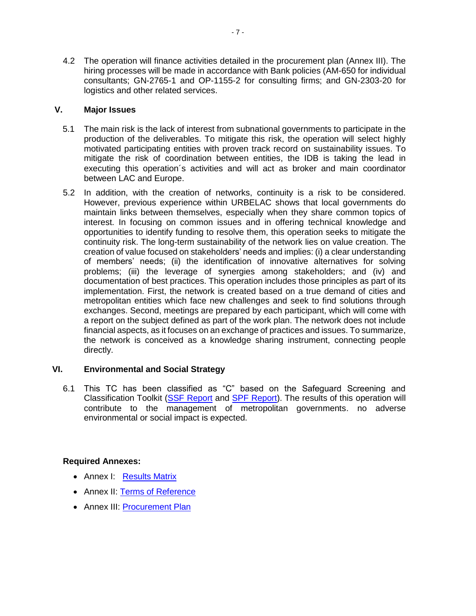4.2 The operation will finance activities detailed in the procurement plan (Annex III). The hiring processes will be made in accordance with Bank policies (AM-650 for individual consultants; GN-2765-1 and OP-1155-2 for consulting firms; and GN-2303-20 for logistics and other related services.

### **V. Major Issues**

- 5.1 The main risk is the lack of interest from subnational governments to participate in the production of the deliverables. To mitigate this risk, the operation will select highly motivated participating entities with proven track record on sustainability issues. To mitigate the risk of coordination between entities, the IDB is taking the lead in executing this operation´s activities and will act as broker and main coordinator between LAC and Europe.
- 5.2 In addition, with the creation of networks, continuity is a risk to be considered. However, previous experience within URBELAC shows that local governments do maintain links between themselves, especially when they share common topics of interest. In focusing on common issues and in offering technical knowledge and opportunities to identify funding to resolve them, this operation seeks to mitigate the continuity risk. The long-term sustainability of the network lies on value creation. The creation of value focused on stakeholders' needs and implies: (i) a clear understanding of members' needs; (ii) the identification of innovative alternatives for solving problems; (iii) the leverage of synergies among stakeholders; and (iv) and documentation of best practices. This operation includes those principles as part of its implementation. First, the network is created based on a true demand of cities and metropolitan entities which face new challenges and seek to find solutions through exchanges. Second, meetings are prepared by each participant, which will come with a report on the subject defined as part of the work plan. The network does not include financial aspects, as it focuses on an exchange of practices and issues. To summarize, the network is conceived as a knowledge sharing instrument, connecting people directly.

## **VI. Environmental and Social Strategy**

6.1 This TC has been classified as "C" based on the Safeguard Screening and Classification Toolkit [\(SSF Report](http://idbdocs.iadb.org/wsdocs/getDocument.aspx?DOCNUM=EZSHARE-1858782124-4) and [SPF Report\)](http://idbdocs.iadb.org/wsdocs/getDocument.aspx?DOCNUM=EZSHARE-1858782124-3). The results of this operation will contribute to the management of metropolitan governments. no adverse environmental or social impact is expected.

### **Required Annexes:**

- Annex I: [Results Matrix](http://idbdocs.iadb.org/wsdocs/getDocument.aspx?DOCNUM=EZSHARE-738175427-6)
- Annex II: [Terms of Reference](http://idbdocs.iadb.org/wsdocs/getDocument.aspx?DOCNUM=EZSHARE-738175427-4)
- Annex III: [Procurement Plan](http://idbdocs.iadb.org/wsdocs/getDocument.aspx?DOCNUM=EZSHARE-738175427-5)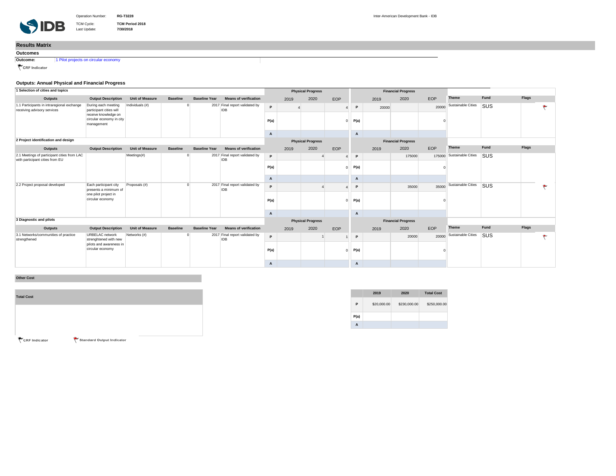TCM Period 2018<br>7/30/2018

#### **Results Matrix**

**Outcomes**<br>Outcome:

1 Pilot projects on circular economy

CRF Indicator

#### **Outputs: Annual Physical and Financial Progress**

| 1 Selection of cities and topics                                               |                                                                                            |                        | <b>Physical Progress</b> |                      |                                              |                          |      | <b>Financial Progress</b> |     |                           |       |                           |        |                    |            |              |  |
|--------------------------------------------------------------------------------|--------------------------------------------------------------------------------------------|------------------------|--------------------------|----------------------|----------------------------------------------|--------------------------|------|---------------------------|-----|---------------------------|-------|---------------------------|--------|--------------------|------------|--------------|--|
| Outputs                                                                        | <b>Output Description</b>                                                                  | <b>Unit of Measure</b> | <b>Baseline</b>          | <b>Baseline Year</b> | <b>Means of verification</b>                 |                          | 2019 | 2020                      | EOP |                           | 2019  | 2020                      | EOP    | <b>Theme</b>       | Fund       | Flags        |  |
| 1.1 Participants in intraregional exchange<br>receiving advisory services      | During each meeting<br>participant cities will                                             | Individuals (#)        |                          |                      | 2017 Final report validated by<br>IDB.       | P                        |      |                           |     | P                         | 20000 |                           | 20000  | Sustainable Cities | <b>SUS</b> |              |  |
|                                                                                | receive knowledge on<br>circular economy in city<br>management                             |                        |                          |                      |                                              | P(a)                     |      |                           |     | P(a)                      |       |                           |        |                    |            |              |  |
|                                                                                |                                                                                            |                        |                          |                      |                                              | A                        |      |                           |     | A                         |       |                           |        |                    |            |              |  |
| 2 Project identification and design                                            |                                                                                            |                        |                          |                      |                                              |                          |      | <b>Physical Progress</b>  |     | <b>Financial Progress</b> |       |                           |        |                    |            |              |  |
| Outputs                                                                        | <b>Output Description</b>                                                                  | <b>Unit of Measure</b> | <b>Baseline</b>          | <b>Baseline Year</b> | <b>Means of verification</b>                 |                          | 2019 | 2020                      | EOP |                           | 2019  | 2020                      | EOP    | <b>Theme</b>       | Fund       | <b>Flags</b> |  |
| 2.1 Meetings of participant cities from LAC<br>with participant cities from EU |                                                                                            | Meetings(#)            |                          |                      | 2017 Final report validated by<br><b>IDB</b> | P                        |      |                           |     | P.                        |       | 175000                    | 175000 | Sustainable Cities | <b>SUS</b> |              |  |
|                                                                                |                                                                                            |                        |                          |                      |                                              | P(a)                     |      |                           |     | P(a)                      |       |                           |        |                    |            |              |  |
|                                                                                |                                                                                            |                        |                          |                      |                                              | A                        |      |                           |     | A                         |       |                           |        |                    |            |              |  |
| 2.2 Project proposal developed                                                 | Each participant city<br>presents a minimum of<br>one pilot project in<br>circular economy | Proposals (#)          | $\Omega$                 |                      | 2017 Final report validated by<br><b>IDB</b> | P                        |      |                           |     | P                         |       | 35000                     | 35000  | Sustainable Cities | <b>SUS</b> |              |  |
|                                                                                |                                                                                            |                        |                          |                      |                                              | P(a)                     |      |                           |     | P(a)                      |       |                           |        |                    |            |              |  |
|                                                                                |                                                                                            |                        |                          |                      |                                              | A                        |      |                           |     | $\mathbf{A}$              |       |                           |        |                    |            |              |  |
| 3 Diagnostic and pilots                                                        |                                                                                            |                        |                          |                      |                                              | <b>Physical Progress</b> |      |                           |     |                           |       | <b>Financial Progress</b> |        |                    |            |              |  |
| Outputs                                                                        | <b>Output Description</b>                                                                  | <b>Unit of Measure</b> | <b>Baseline</b>          | <b>Baseline Year</b> | <b>Means of verification</b>                 |                          | 2019 | 2020                      | EOP |                           | 2019  | 2020                      | EOP    | <b>Theme</b>       | Fund       | Flags        |  |
| 3.1 Networks/communities of practice<br>strengthened                           | URBELAC network<br>strenghtened with new<br>pilots and awareness in<br>circular economy    | Networks (#)           |                          |                      | 2017 Final report validated by<br><b>IDB</b> | P                        |      |                           |     | P                         |       | 20000                     | 20000  | Sustainable Cities | <b>SUS</b> |              |  |
|                                                                                |                                                                                            |                        |                          |                      |                                              | P(a)                     |      |                           |     | P(a)                      |       |                           |        |                    |            |              |  |
|                                                                                |                                                                                            |                        |                          |                      |                                              | A                        |      |                           |     | $\mathbf{A}$              |       |                           |        |                    |            |              |  |

#### **Other Cost**



|      | 2019        | 2020         | <b>Total Cost</b> |
|------|-------------|--------------|-------------------|
| P    | \$20,000.00 | \$230,000.00 | \$250,000.00      |
| P(a) |             |              |                   |
| Δ    |             |              |                   |

CRF Indicator Standard Output Indicator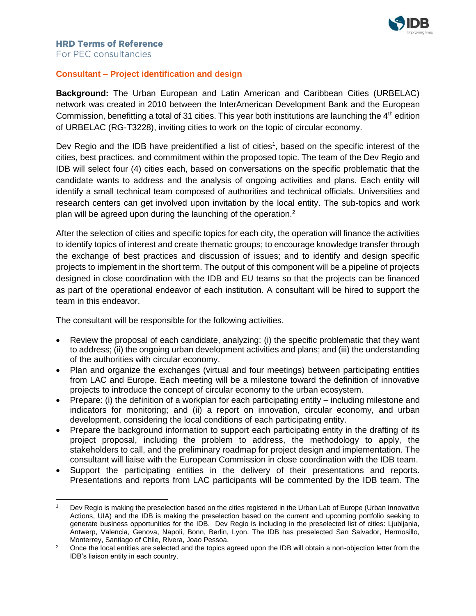

l

### **Consultant – Project identification and design**

**Background:** The Urban European and Latin American and Caribbean Cities (URBELAC) network was created in 2010 between the InterAmerican Development Bank and the European Commission, benefitting a total of 31 cities. This year both institutions are launching the  $4<sup>th</sup>$  edition of URBELAC (RG-T3228), inviting cities to work on the topic of circular economy.

Dev Regio and the IDB have preidentified a list of cities<sup>1</sup>, based on the specific interest of the cities, best practices, and commitment within the proposed topic. The team of the Dev Regio and IDB will select four (4) cities each, based on conversations on the specific problematic that the candidate wants to address and the analysis of ongoing activities and plans. Each entity will identify a small technical team composed of authorities and technical officials. Universities and research centers can get involved upon invitation by the local entity. The sub-topics and work plan will be agreed upon during the launching of the operation.<sup>2</sup>

After the selection of cities and specific topics for each city, the operation will finance the activities to identify topics of interest and create thematic groups; to encourage knowledge transfer through the exchange of best practices and discussion of issues; and to identify and design specific projects to implement in the short term. The output of this component will be a pipeline of projects designed in close coordination with the IDB and EU teams so that the projects can be financed as part of the operational endeavor of each institution. A consultant will be hired to support the team in this endeavor.

The consultant will be responsible for the following activities.

- Review the proposal of each candidate, analyzing: (i) the specific problematic that they want to address; (ii) the ongoing urban development activities and plans; and (iii) the understanding of the authorities with circular economy.
- Plan and organize the exchanges (virtual and four meetings) between participating entities from LAC and Europe. Each meeting will be a milestone toward the definition of innovative projects to introduce the concept of circular economy to the urban ecosystem.
- Prepare: (i) the definition of a workplan for each participating entity including milestone and indicators for monitoring; and (ii) a report on innovation, circular economy, and urban development, considering the local conditions of each participating entity.
- Prepare the background information to support each participating entity in the drafting of its project proposal, including the problem to address, the methodology to apply, the stakeholders to call, and the preliminary roadmap for project design and implementation. The consultant will liaise with the European Commission in close coordination with the IDB team.
- Support the participating entities in the delivery of their presentations and reports. Presentations and reports from LAC participants will be commented by the IDB team. The

Dev Regio is making the preselection based on the cities registered in the Urban Lab of Europe (Urban Innovative Actions, UIA) and the IDB is making the preselection based on the current and upcoming portfolio seeking to generate business opportunities for the IDB. Dev Regio is including in the preselected list of cities: Ljubljania, Antwerp, Valencia, Genova, Napoli, Bonn, Berlin, Lyon. The IDB has preselected San Salvador, Hermosillo, Monterrey, Santiago of Chile, Rivera, Joao Pessoa.

<sup>&</sup>lt;sup>2</sup> Once the local entities are selected and the topics agreed upon the IDB will obtain a non-objection letter from the IDB's liaison entity in each country.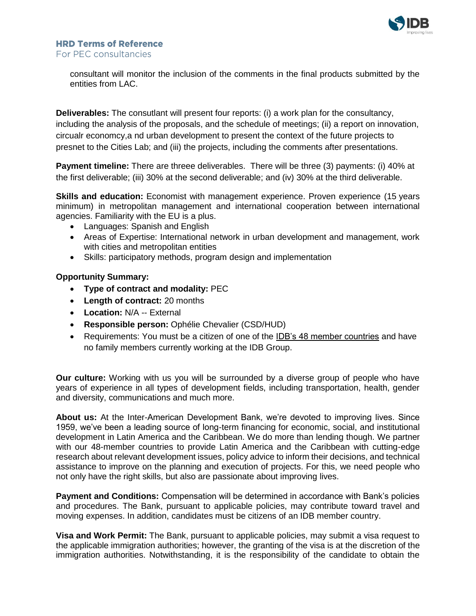

# **HRD Terms of Reference**

For PEC consultancies

consultant will monitor the inclusion of the comments in the final products submitted by the entities from LAC.

**Deliverables:** The consutlant will present four reports: (i) a work plan for the consultancy, including the analysis of the proposals, and the schedule of meetings; (ii) a report on innovation, circualr economcy,a nd urban development to present the context of the future projects to presnet to the Cities Lab; and (iii) the projects, including the comments after presentations.

**Payment timeline:** There are threee deliverables. There will be three (3) payments: (i) 40% at the first deliverable; (iii) 30% at the second deliverable; and (iv) 30% at the third deliverable.

**Skills and education:** Economist with management experience. Proven experience (15 years minimum) in metropolitan management and international cooperation between international agencies. Familiarity with the EU is a plus.

- Languages: Spanish and English
- Areas of Expertise: International network in urban development and management, work with cities and metropolitan entities
- Skills: participatory methods, program design and implementation

### **Opportunity Summary:**

- **Type of contract and modality:** PEC
- **Length of contract:** 20 months
- **Location:** N/A -- External
- **Responsible person:** Ophélie Chevalier (CSD/HUD)
- Requirements: You must be a citizen of one of the [IDB's 48 member countries](http://www.iadb.org/en/about-us/how-the-inter-american-development-bank-is-organized,5998.html?open_accordion=9) and have no family members currently working at the IDB Group.

**Our culture:** Working with us you will be surrounded by a diverse group of people who have years of experience in all types of development fields, including transportation, health, gender and diversity, communications and much more.

**About us:** At the Inter-American Development Bank, we're devoted to improving lives. Since 1959, we've been a leading source of long-term financing for economic, social, and institutional development in Latin America and the Caribbean. We do more than lending though. We partner with our 48-member countries to provide Latin America and the Caribbean with cutting-edge research about relevant development issues, policy advice to inform their decisions, and technical assistance to improve on the planning and execution of projects. For this, we need people who not only have the right skills, but also are passionate about improving lives.

**Payment and Conditions:** Compensation will be determined in accordance with Bank's policies and procedures. The Bank, pursuant to applicable policies, may contribute toward travel and moving expenses. In addition, candidates must be citizens of an IDB member country.

**Visa and Work Permit:** The Bank, pursuant to applicable policies, may submit a visa request to the applicable immigration authorities; however, the granting of the visa is at the discretion of the immigration authorities. Notwithstanding, it is the responsibility of the candidate to obtain the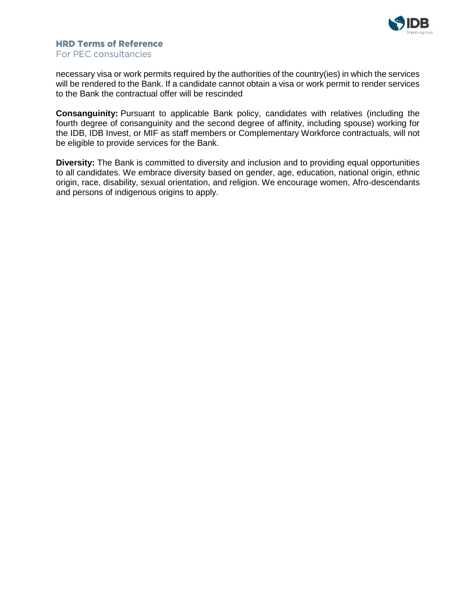

### **HRD Terms of Reference** For PEC consultancies

necessary visa or work permits required by the authorities of the country(ies) in which the services will be rendered to the Bank. If a candidate cannot obtain a visa or work permit to render services to the Bank the contractual offer will be rescinded

**Consanguinity:** Pursuant to applicable Bank policy, candidates with relatives (including the fourth degree of consanguinity and the second degree of affinity, including spouse) working for the IDB, IDB Invest, or MIF as staff members or Complementary Workforce contractuals, will not be eligible to provide services for the Bank.

**Diversity:** The Bank is committed to diversity and inclusion and to providing equal opportunities to all candidates. We embrace diversity based on gender, age, education, national origin, ethnic origin, race, disability, sexual orientation, and religion. We encourage women, Afro-descendants and persons of indigenous origins to apply.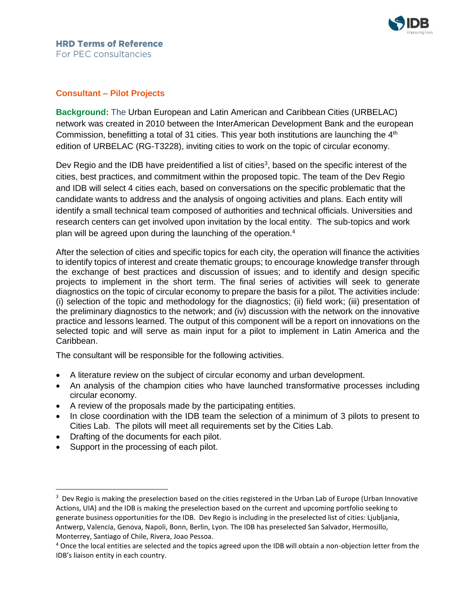

### **Consultant – Pilot Projects**

**Background:** The Urban European and Latin American and Caribbean Cities (URBELAC) network was created in 2010 between the InterAmerican Development Bank and the european Commission, benefitting a total of 31 cities. This year both institutions are launching the  $4<sup>th</sup>$ edition of URBELAC (RG-T3228), inviting cities to work on the topic of circular economy.

Dev Regio and the IDB have preidentified a list of cities<sup>3</sup>, based on the specific interest of the cities, best practices, and commitment within the proposed topic. The team of the Dev Regio and IDB will select 4 cities each, based on conversations on the specific problematic that the candidate wants to address and the analysis of ongoing activities and plans. Each entity will identify a small technical team composed of authorities and technical officials. Universities and research centers can get involved upon invitation by the local entity. The sub-topics and work plan will be agreed upon during the launching of the operation.<sup>4</sup>

After the selection of cities and specific topics for each city, the operation will finance the activities to identify topics of interest and create thematic groups; to encourage knowledge transfer through the exchange of best practices and discussion of issues; and to identify and design specific projects to implement in the short term. The final series of activities will seek to generate diagnostics on the topic of circular economy to prepare the basis for a pilot. The activities include: (i) selection of the topic and methodology for the diagnostics; (ii) field work; (iii) presentation of the preliminary diagnostics to the network; and (iv) discussion with the network on the innovative practice and lessons learned. The output of this component will be a report on innovations on the selected topic and will serve as main input for a pilot to implement in Latin America and the Caribbean.

The consultant will be responsible for the following activities.

- A literature review on the subject of circular economy and urban development.
- An analysis of the champion cities who have launched transformative processes including circular economy.
- A review of the proposals made by the participating entities.
- In close coordination with the IDB team the selection of a minimum of 3 pilots to present to Cities Lab. The pilots will meet all requirements set by the Cities Lab.
- Drafting of the documents for each pilot.
- Support in the processing of each pilot.

 $\overline{\phantom{a}}$ 

<sup>&</sup>lt;sup>3</sup> Dev Regio is making the preselection based on the cities registered in the Urban Lab of Europe (Urban Innovative Actions, UIA) and the IDB is making the preselection based on the current and upcoming portfolio seeking to generate business opportunities for the IDB. Dev Regio is including in the preselected list of cities: Ljubljania, Antwerp, Valencia, Genova, Napoli, Bonn, Berlin, Lyon. The IDB has preselected San Salvador, Hermosillo, Monterrey, Santiago of Chile, Rivera, Joao Pessoa.

<sup>&</sup>lt;sup>4</sup> Once the local entities are selected and the topics agreed upon the IDB will obtain a non-objection letter from the IDB's liaison entity in each country.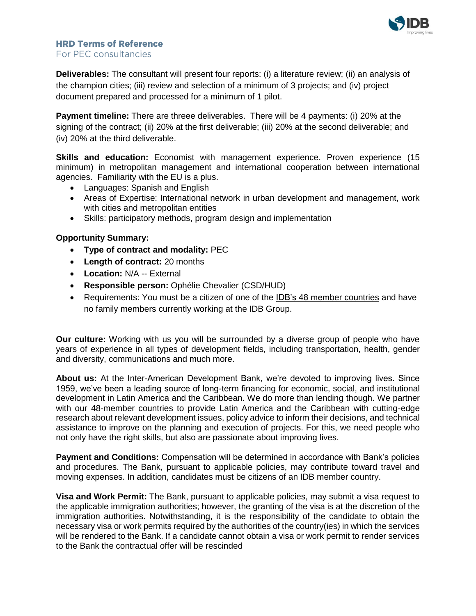

# **HRD Terms of Reference**

For PEC consultancies

**Deliverables:** The consultant will present four reports: (i) a literature review; (ii) an analysis of the champion cities; (iii) review and selection of a minimum of 3 projects; and (iv) project document prepared and processed for a minimum of 1 pilot.

**Payment timeline:** There are threee deliverables. There will be 4 payments: (i) 20% at the signing of the contract; (ii) 20% at the first deliverable; (iii) 20% at the second deliverable; and (iv) 20% at the third deliverable.

**Skills and education:** Economist with management experience. Proven experience (15 minimum) in metropolitan management and international cooperation between international agencies. Familiarity with the EU is a plus.

- Languages: Spanish and English
- Areas of Expertise: International network in urban development and management, work with cities and metropolitan entities
- Skills: participatory methods, program design and implementation

### **Opportunity Summary:**

- **Type of contract and modality:** PEC
- **Length of contract:** 20 months
- **Location:** N/A -- External
- **Responsible person:** Ophélie Chevalier (CSD/HUD)
- Requirements: You must be a citizen of one of the [IDB's 48 member countries](http://www.iadb.org/en/about-us/how-the-inter-american-development-bank-is-organized,5998.html?open_accordion=9) and have no family members currently working at the IDB Group.

**Our culture:** Working with us you will be surrounded by a diverse group of people who have years of experience in all types of development fields, including transportation, health, gender and diversity, communications and much more.

**About us:** At the Inter-American Development Bank, we're devoted to improving lives. Since 1959, we've been a leading source of long-term financing for economic, social, and institutional development in Latin America and the Caribbean. We do more than lending though. We partner with our 48-member countries to provide Latin America and the Caribbean with cutting-edge research about relevant development issues, policy advice to inform their decisions, and technical assistance to improve on the planning and execution of projects. For this, we need people who not only have the right skills, but also are passionate about improving lives.

**Payment and Conditions:** Compensation will be determined in accordance with Bank's policies and procedures. The Bank, pursuant to applicable policies, may contribute toward travel and moving expenses. In addition, candidates must be citizens of an IDB member country.

**Visa and Work Permit:** The Bank, pursuant to applicable policies, may submit a visa request to the applicable immigration authorities; however, the granting of the visa is at the discretion of the immigration authorities. Notwithstanding, it is the responsibility of the candidate to obtain the necessary visa or work permits required by the authorities of the country(ies) in which the services will be rendered to the Bank. If a candidate cannot obtain a visa or work permit to render services to the Bank the contractual offer will be rescinded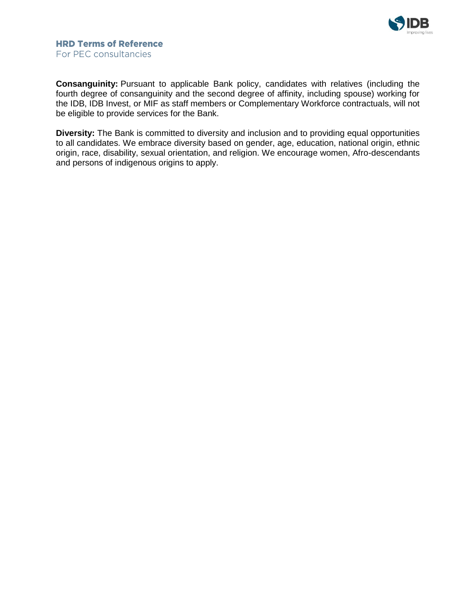

**Consanguinity:** Pursuant to applicable Bank policy, candidates with relatives (including the fourth degree of consanguinity and the second degree of affinity, including spouse) working for the IDB, IDB Invest, or MIF as staff members or Complementary Workforce contractuals, will not be eligible to provide services for the Bank.

**Diversity:** The Bank is committed to diversity and inclusion and to providing equal opportunities to all candidates. We embrace diversity based on gender, age, education, national origin, ethnic origin, race, disability, sexual orientation, and religion. We encourage women, Afro-descendants and persons of indigenous origins to apply.